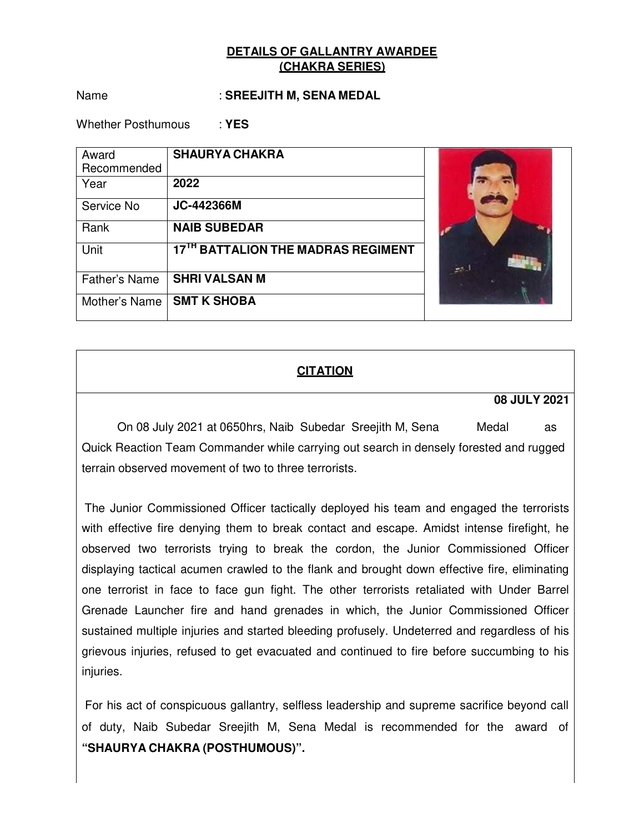Name : **SREEJITH M, SENA MEDAL** 

Whether Posthumous : **YES** 

| Award                | <b>SHAURYA CHAKRA</b>              |     |
|----------------------|------------------------------------|-----|
| Recommended          |                                    |     |
| Year                 | 2022                               |     |
| Service No           | <b>JC-442366M</b>                  |     |
| Rank                 | <b>NAIB SUBEDAR</b>                |     |
| Unit                 | 17TH BATTALION THE MADRAS REGIMENT | es. |
| <b>Father's Name</b> | <b>SHRI VALSAN M</b>               |     |
| Mother's Name        | <b>SMT K SHOBA</b>                 |     |

# **CITATION**

#### **08 JULY 2021**

On 08 July 2021 at 0650hrs, Naib Subedar Sreejith M, Sena Medal as Quick Reaction Team Commander while carrying out search in densely forested and rugged terrain observed movement of two to three terrorists.

The Junior Commissioned Officer tactically deployed his team and engaged the terrorists with effective fire denying them to break contact and escape. Amidst intense firefight, he observed two terrorists trying to break the cordon, the Junior Commissioned Officer displaying tactical acumen crawled to the flank and brought down effective fire, eliminating one terrorist in face to face gun fight. The other terrorists retaliated with Under Barrel Grenade Launcher fire and hand grenades in which, the Junior Commissioned Officer sustained multiple injuries and started bleeding profusely. Undeterred and regardless of his grievous injuries, refused to get evacuated and continued to fire before succumbing to his injuries.

For his act of conspicuous gallantry, selfless leadership and supreme sacrifice beyond call of duty, Naib Subedar Sreejith M, Sena Medal is recommended for the award of **"SHAURYA CHAKRA (POSTHUMOUS)".**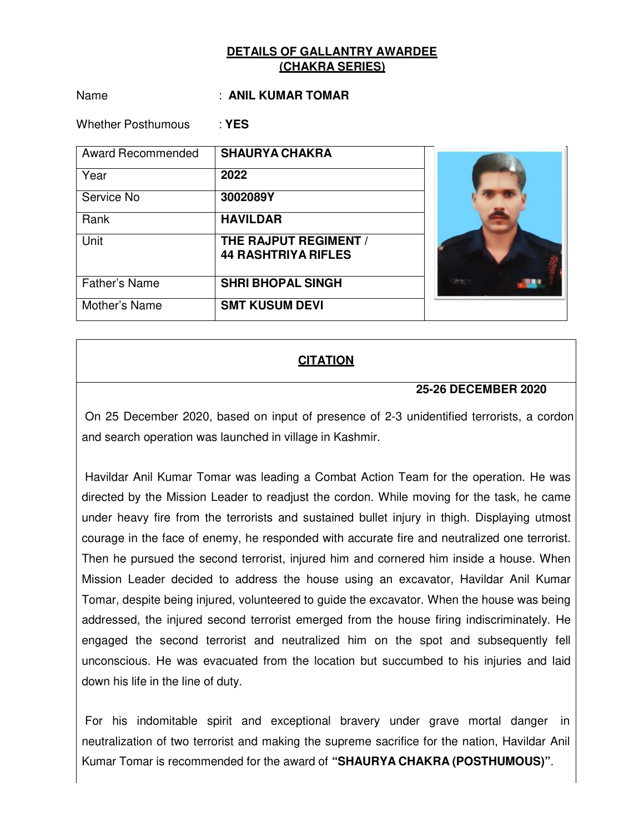Name : **ANIL KUMAR TOMAR** 

Whether Posthumous : **YES** 

| <b>Award Recommended</b> | <b>SHAURYA CHAKRA</b>      |  |
|--------------------------|----------------------------|--|
| Year                     | 2022                       |  |
| Service No               | 3002089Y                   |  |
| Rank                     | <b>HAVILDAR</b>            |  |
| Unit                     | THE RAJPUT REGIMENT /      |  |
|                          | <b>44 RASHTRIYA RIFLES</b> |  |
| <b>Father's Name</b>     | <b>SHRI BHOPAL SINGH</b>   |  |
| Mother's Name            | <b>SMT KUSUM DEVI</b>      |  |

# **CITATION**

### **25-26 DECEMBER 2020**

On 25 December 2020, based on input of presence of 2-3 unidentified terrorists, a cordon and search operation was launched in village in Kashmir.

Havildar Anil Kumar Tomar was leading a Combat Action Team for the operation. He was directed by the Mission Leader to readjust the cordon. While moving for the task, he came under heavy fire from the terrorists and sustained bullet injury in thigh. Displaying utmost courage in the face of enemy, he responded with accurate fire and neutralized one terrorist. Then he pursued the second terrorist, injured him and cornered him inside a house. When Mission Leader decided to address the house using an excavator, Havildar Anil Kumar Tomar, despite being injured, volunteered to guide the excavator. When the house was being addressed, the injured second terrorist emerged from the house firing indiscriminately. He engaged the second terrorist and neutralized him on the spot and subsequently fell unconscious. He was evacuated from the location but succumbed to his injuries and laid down his life in the line of duty.

For his indomitable spirit and exceptional bravery under grave mortal danger in neutralization of two terrorist and making the supreme sacrifice for the nation, Havildar Anil Kumar Tomar is recommended for the award of **"SHAURYA CHAKRA (POSTHUMOUS)"**.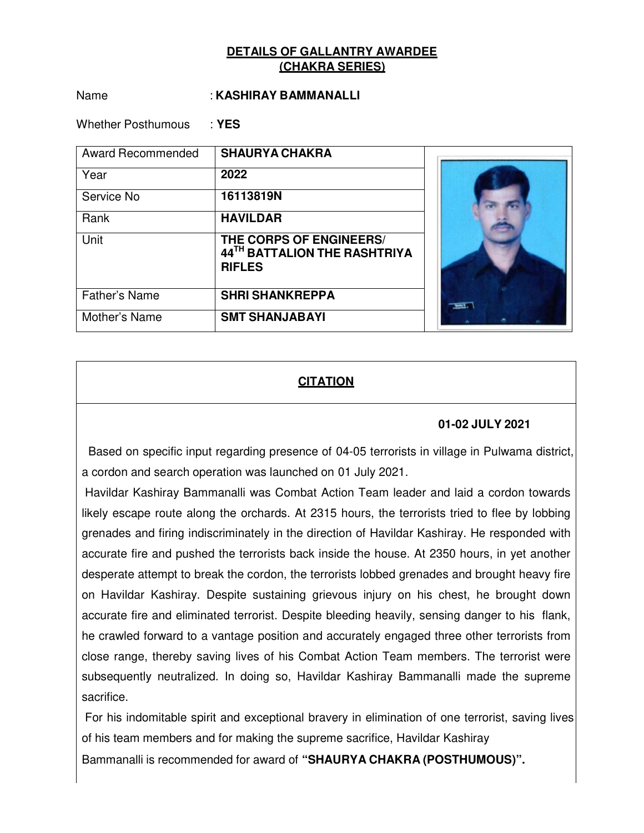#### Name : **KASHIRAY BAMMANALLI**

Whether Posthumous : **YES** 

| <b>Award Recommended</b> | <b>SHAURYA CHAKRA</b>                                                    |  |
|--------------------------|--------------------------------------------------------------------------|--|
| Year                     | 2022                                                                     |  |
| Service No               | 16113819N                                                                |  |
| Rank                     | <b>HAVILDAR</b>                                                          |  |
| Unit                     | THE CORPS OF ENGINEERS/<br>44TH BATTALION THE RASHTRIYA<br><b>RIFLES</b> |  |
| <b>Father's Name</b>     | <b>SHRI SHANKREPPA</b>                                                   |  |
| Mother's Name            | <b>SMT SHANJABAYI</b>                                                    |  |

## **CITATION**

#### **01-02 JULY 2021**

Based on specific input regarding presence of 04-05 terrorists in village in Pulwama district, a cordon and search operation was launched on 01 July 2021.

Havildar Kashiray Bammanalli was Combat Action Team leader and laid a cordon towards likely escape route along the orchards. At 2315 hours, the terrorists tried to flee by lobbing grenades and firing indiscriminately in the direction of Havildar Kashiray. He responded with accurate fire and pushed the terrorists back inside the house. At 2350 hours, in yet another desperate attempt to break the cordon, the terrorists lobbed grenades and brought heavy fire on Havildar Kashiray. Despite sustaining grievous injury on his chest, he brought down accurate fire and eliminated terrorist. Despite bleeding heavily, sensing danger to his flank, he crawled forward to a vantage position and accurately engaged three other terrorists from close range, thereby saving lives of his Combat Action Team members. The terrorist were subsequently neutralized. In doing so, Havildar Kashiray Bammanalli made the supreme sacrifice.

For his indomitable spirit and exceptional bravery in elimination of one terrorist, saving lives of his team members and for making the supreme sacrifice, Havildar Kashiray

Bammanalli is recommended for award of **"SHAURYA CHAKRA (POSTHUMOUS)".**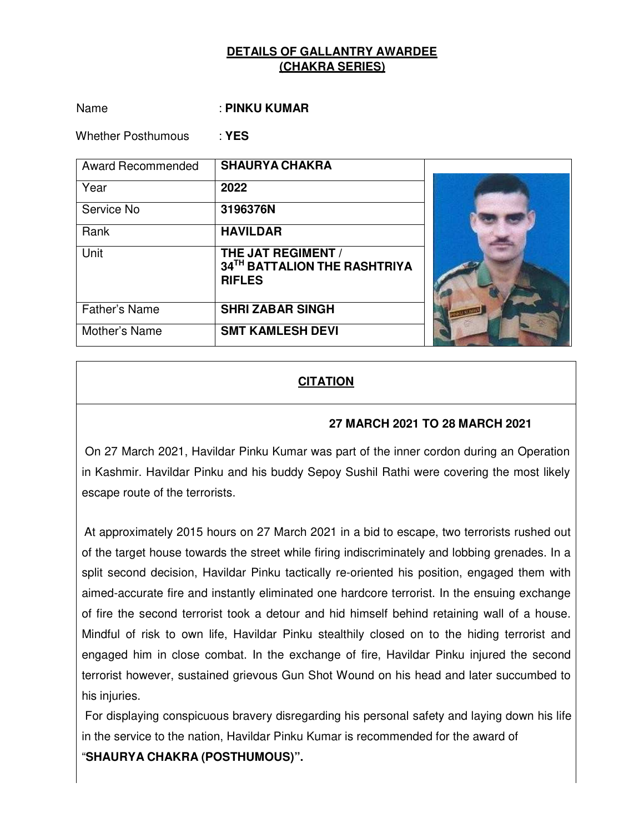Name : **PINKU KUMAR** 

Whether Posthumous : **YES** 

| <b>Award Recommended</b> | <b>SHAURYA CHAKRA</b>                                                      |  |
|--------------------------|----------------------------------------------------------------------------|--|
| Year                     | 2022                                                                       |  |
| Service No               | 3196376N                                                                   |  |
| Rank                     | <b>HAVILDAR</b>                                                            |  |
| Unit                     | <b>THE JAT REGIMENT /</b><br>34TH BATTALION THE RASHTRIYA<br><b>RIFLES</b> |  |
| <b>Father's Name</b>     | <b>SHRI ZABAR SINGH</b>                                                    |  |
| Mother's Name            | <b>SMT KAMLESH DEVI</b>                                                    |  |

# **CITATION**

### **27 MARCH 2021 TO 28 MARCH 2021**

On 27 March 2021, Havildar Pinku Kumar was part of the inner cordon during an Operation in Kashmir. Havildar Pinku and his buddy Sepoy Sushil Rathi were covering the most likely escape route of the terrorists.

At approximately 2015 hours on 27 March 2021 in a bid to escape, two terrorists rushed out of the target house towards the street while firing indiscriminately and lobbing grenades. In a split second decision, Havildar Pinku tactically re-oriented his position, engaged them with aimed-accurate fire and instantly eliminated one hardcore terrorist. In the ensuing exchange of fire the second terrorist took a detour and hid himself behind retaining wall of a house. Mindful of risk to own life, Havildar Pinku stealthily closed on to the hiding terrorist and engaged him in close combat. In the exchange of fire, Havildar Pinku injured the second terrorist however, sustained grievous Gun Shot Wound on his head and later succumbed to his injuries.

For displaying conspicuous bravery disregarding his personal safety and laying down his life in the service to the nation, Havildar Pinku Kumar is recommended for the award of

"**SHAURYA CHAKRA (POSTHUMOUS)".**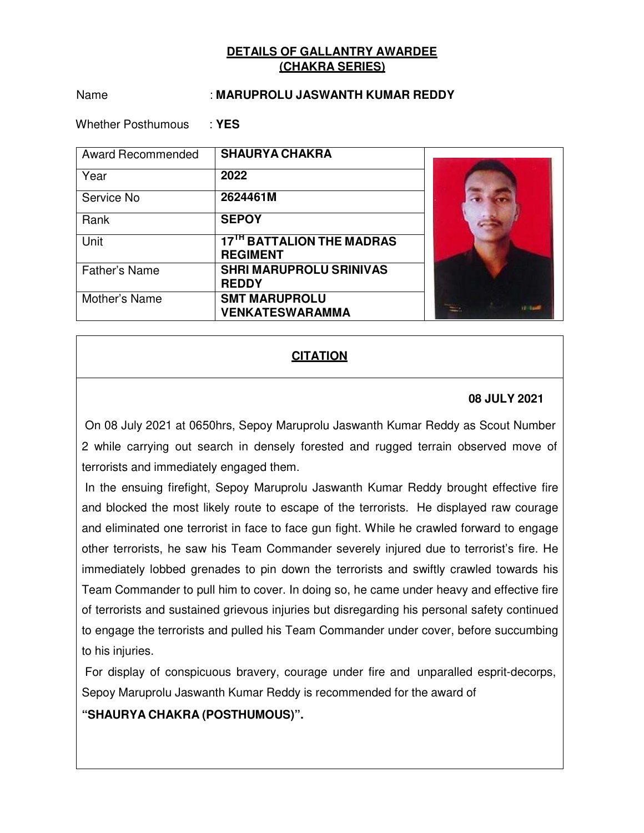#### Name : **MARUPROLU JASWANTH KUMAR REDDY**

Whether Posthumous : **YES** 

| <b>Award Recommended</b> | <b>SHAURYA CHAKRA</b>                                    |  |
|--------------------------|----------------------------------------------------------|--|
| Year                     | 2022                                                     |  |
| Service No               | 2624461M                                                 |  |
| Rank                     | <b>SEPOY</b>                                             |  |
| Unit                     | 17 <sup>TH</sup> BATTALION THE MADRAS<br><b>REGIMENT</b> |  |
| <b>Father's Name</b>     | <b>SHRI MARUPROLU SRINIVAS</b><br><b>REDDY</b>           |  |
| Mother's Name            | <b>SMT MARUPROLU</b><br><b>VENKATESWARAMMA</b>           |  |

## **CITATION**

### **08 JULY 2021**

On 08 July 2021 at 0650hrs, Sepoy Maruprolu Jaswanth Kumar Reddy as Scout Number 2 while carrying out search in densely forested and rugged terrain observed move of terrorists and immediately engaged them.

In the ensuing firefight, Sepoy Maruprolu Jaswanth Kumar Reddy brought effective fire and blocked the most likely route to escape of the terrorists. He displayed raw courage and eliminated one terrorist in face to face gun fight. While he crawled forward to engage other terrorists, he saw his Team Commander severely injured due to terrorist's fire. He immediately lobbed grenades to pin down the terrorists and swiftly crawled towards his Team Commander to pull him to cover. In doing so, he came under heavy and effective fire of terrorists and sustained grievous injuries but disregarding his personal safety continued to engage the terrorists and pulled his Team Commander under cover, before succumbing to his injuries.

For display of conspicuous bravery, courage under fire and unparalled esprit-decorps, Sepoy Maruprolu Jaswanth Kumar Reddy is recommended for the award of

## **"SHAURYA CHAKRA (POSTHUMOUS)".**